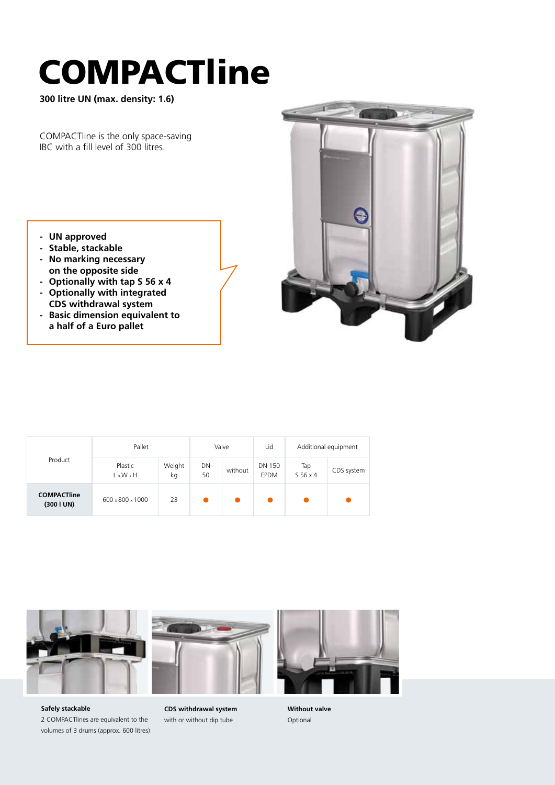## COMPACTline

**300 litre UN (max. density: 1.6)**

COMPACTline is the only space-saving IBC with a fill level of 300 litres.

- **UN approved**
- **- Stable, stackable**
- **- No marking necessary on the opposite side**
- **- Optionally with tap S 56 x 4**
- **- Optionally with integrated CDS withdrawal system**
- **- Basic dimension equivalent to a half of a Euro pallet**



| Product                          | Pallet                           |              | Valve    |         | Lid                          | Additional equipment       |            |
|----------------------------------|----------------------------------|--------------|----------|---------|------------------------------|----------------------------|------------|
|                                  | Plastic<br>$L \times W \times H$ | Weight<br>kg | DN<br>50 | without | <b>DN 150</b><br><b>EPDM</b> | Tap<br>S <sub>56</sub> x 4 | CDS system |
| <b>COMPACTIIne</b><br>(300 I UN) | $600 \times 800 \times 1000$     | 23           |          |         |                              |                            |            |







**CDS withdrawal system** with or without dip tube

**Without valve** Optional

**Safely stackable** 2 COMPACTlines are equivalent to the volumes of 3 drums (approx. 600 litres)